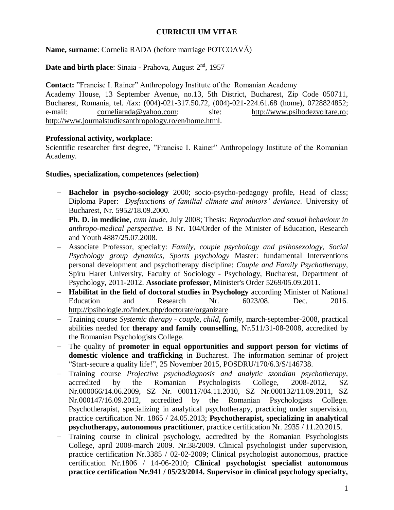## **CURRICULUM VITAE**

**Name, surname**: Cornelia RADA (before marriage POTCOAVĂ)

**Date and birth place**: Sinaia - Prahova, August 2<sup>nd</sup>, 1957

**Contact:** "Francisc I. Rainer" Anthropology Institute of the Romanian Academy Academy House, 13 September Avenue, no.13, 5th District, Bucharest, Zip Code 050711, Bucharest, Romania, tel. /fax: (004)-021-317.50.72, (004)-021-224.61.68 (home), 0728824852; e-mail: [corneliarada@yahoo.com;](mailto:corneliarada@yahoo.com) site: [http://www.psihodezvoltare.ro;](http://www.psihodezvoltare.ro/) [http://www.journalstudiesanthropology.ro/en/home.html.](http://www.journalstudiesanthropology.ro/en/home.html)

### **Professional activity, workplace**:

Scientific researcher first degree, "Francisc I. Rainer" Anthropology Institute of the Romanian Academy.

### **Studies, specialization, competences (selection)**

- **Bachelor in psycho-sociology** 2000; socio-psycho-pedagogy profile, Head of class; Diploma Paper: *Dysfunctions of familial climate and minors' deviance.* University of Bucharest, Nr. 5952/18.09.2000.
- **Ph. D. in medicine**, *cum laude*, July 2008; Thesis: *Reproduction and sexual behaviour in anthropo-medical perspective.* B Nr. 104/Order of the Minister of Education, Research and Youth 4887/25.07.2008.
- Associate Professor, specialty: *Family, couple psychology and psihosexology*, *Social Psychology group dynamics*, *Sports psychology* Master: fundamental Interventions personal development and psychotherapy discipline: *Couple and Family Psychotherapy*, Spiru Haret University, Faculty of Sociology - Psychology, Bucharest, Department of Psychology, 2011-2012. **Associate professor**, Minister's Order 5269/05.09.2011.
- **Habilitat in the field of doctoral studies in Psychology** according Minister of National Education and Research Nr. 6023/08. Dec. 2016. <http://ipsihologie.ro/index.php/doctorate/organizare>
- Training course *Systemic therapy - couple, child, family,* march-september-2008, practical abilities needed for **therapy and family counselling**, Nr.511/31-08-2008, accredited by the Romanian Psychologists College.
- The quality of **promoter in equal opportunities and support person for victims of domestic violence and trafficking** in Bucharest. The information seminar of project "Start-secure a quality life!", 25 November 2015, POSDRU/170/6.3/S/146738.
- Training course *Projective psychodiagnosis and analytic szondian psychotherapy,*  accredited by the Romanian Psychologists College, 2008-2012, SZ Nr.000066/14.06.2009, SZ Nr. 000117/04.11.2010, SZ Nr.000132/11.09.2011, SZ Nr.000147/16.09.2012, accredited by the Romanian Psychologists College. Psychotherapist, specializing in analytical psychotherapy, practicing under supervision, practice certification Nr. 1865 / 24.05.2013; **Psychotherapist, specializing in analytical psychotherapy, autonomous practitioner**, practice certification Nr. 2935 / 11.20.2015.
- Training course in clinical psychology, accredited by the Romanian Psychologists College, april 2008-march 2009. Nr.38/2009. Clinical psychologist under supervision, practice certification Nr.3385 / 02-02-2009; Clinical psychologist autonomous, practice certification Nr.1806 / 14-06-2010; **Clinical psychologist specialist autonomous practice certification Nr.941 / 05/23/2014. Supervisor in clinical psychology specialty,**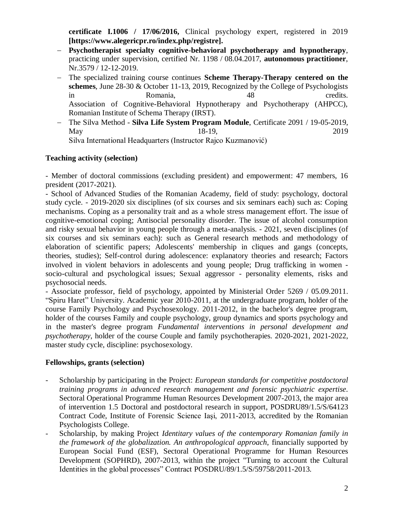**certificate I.1006 / 17/06/2016,** Clinical psychology expert, registered in 2019 **[https://www.alegericpr.ro/index.php/registre].**

- **Psychotherapist specialty cognitive-behavioral psychotherapy and hypnotherapy**, practicing under supervision, certified Nr. 1198 / 08.04.2017, **autonomous practitioner**, Nr.3579 / 12-12-2019.
- The specialized training course continues **Scheme Therapy-Therapy centered on the schemes**, June 28-30 & October 11-13, 2019, Recognized by the College of Psychologists in Romania, 48 credits. Association of Cognitive-Behavioral Hypnotherapy and Psychotherapy (AHPCC), Romanian Institute of Schema Therapy (IRST).
- The Silva Method **Silva Life System Program Module**, Certificate 2091 / 19-05-2019, May 18-19, 2019 Silva International Headquarters (Instructor Rajco Kuzmanović)

### **Teaching activity (selection)**

- Member of doctoral commissions (excluding president) and empowerment: 47 members, 16 president (2017-2021).

- School of Advanced Studies of the Romanian Academy, field of study: psychology, doctoral study cycle. - 2019-2020 six disciplines (of six courses and six seminars each) such as: Coping mechanisms. Coping as a personality trait and as a whole stress management effort. The issue of cognitive-emotional coping; Antisocial personality disorder. The issue of alcohol consumption and risky sexual behavior in young people through a meta-analysis. - 2021, seven disciplines (of six courses and six seminars each): such as General research methods and methodology of elaboration of scientific papers; Adolescents' membership in cliques and gangs (concepts, theories, studies); Self-control during adolescence: explanatory theories and research; Factors involved in violent behaviors in adolescents and young people; Drug trafficking in women socio-cultural and psychological issues; Sexual aggressor - personality elements, risks and psychosocial needs.

- Associate professor, field of psychology, appointed by Ministerial Order 5269 / 05.09.2011. "Spiru Haret" University. Academic year 2010-2011, at the undergraduate program, holder of the course Family Psychology and Psychosexology. 2011-2012, in the bachelor's degree program, holder of the courses Family and couple psychology, group dynamics and sports psychology and in the master's degree program *Fundamental interventions in personal development and psychotherapy*, holder of the course Couple and family psychotherapies. 2020-2021, 2021-2022, master study cycle, discipline: psychosexology.

### **Fellowships, grants (selection)**

- Scholarship by participating in the Project: *European standards for competitive postdoctoral training programs in advanced research management and forensic psychiatric expertise*. Sectoral Operational Programme Human Resources Development 2007-2013, the major area of intervention 1.5 Doctoral and postdoctoral research in support, POSDRU89/1.5/S/64123 Contract Code, Institute of Forensic Science Iaşi, 2011-2013, accredited by the Romanian Psychologists College.
- Scholarship, by making Project *Identitary values of the contemporary Romanian family in the framework of the globalization. An anthropological approach*, financially supported by European Social Fund (ESF), Sectoral Operational Programme for Human Resources Development (SOPHRD), 2007-2013, within the project "Turning to account the Cultural Identities in the global processes" Contract POSDRU/89/1.5/S/59758/2011-2013.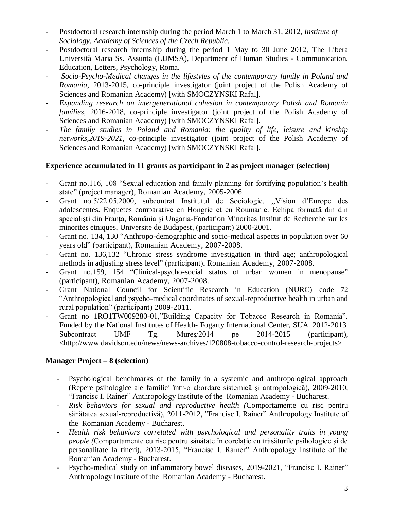- Postdoctoral research internship during the period March 1 to March 31, 2012, *Institute of Sociology, Academy of Sciences of the Czech Republic.*
- Postdoctoral research internship during the period 1 May to 30 June 2012, The Libera Università Maria Ss. Assunta (LUMSA), Department of Human Studies - Communication, Education, Letters, Psychology, Roma.
- *Socio-Psycho-Medical changes in the lifestyles of the contemporary family in Poland and Romania*, 2013-2015, co-principle investigator (joint project of the Polish Academy of Sciences and Romanian Academy) [with SMOCZYNSKI Rafal].
- *Expanding research on intergenerational cohesion in contemporary Polish and Romanin families,* 2016-2018, co-principle investigator (joint project of the Polish Academy of Sciences and Romanian Academy) [with SMOCZYNSKI Rafal].
- *The family studies in Poland and Romania: the quality of life, leisure and kinship networks,2019-2021,* co-principle investigator (joint project of the Polish Academy of Sciences and Romanian Academy) [with SMOCZYNSKI Rafal].

## **Experience accumulated in 11 grants as participant in 2 as project manager (selection)**

- Grant no.116, 108 "Sexual education and family planning for fortifying population's health state" (project manager), Romanian Academy, 2005-2006.
- Grant no.5/22.05.2000, subcontrat Institutul de Sociologie. ,,Vision d'Europe des adolescentes. Enquetes comparative en Hongrie et en Roumanie. Echipa formată din din specialisti din Franța, România și Ungaria-Fondation Minoritas Institut de Recherche sur les minorites etniques, Universite de Budapest, (participant) 2000-2001.
- Grant no. 134, 130 "Anthropo-demographic and socio-medical aspects in population over 60 years old" (participant), Romanian Academy, 2007-2008.
- Grant no. 136,132 "Chronic stress syndrome investigation in third age; anthropological methods in adjusting stress level" (participant), Romanian Academy, 2007-2008.
- Grant no.159, 154 "Clinical-psycho-social status of urban women in menopause" (participant), Romanian Academy, 2007-2008.
- Grant National Council for Scientific Research in Education (NURC) code 72 "Anthropological and psycho-medical coordinates of sexual-reproductive health in urban and rural population" (participant) 2009-2011.
- Grant no 1RO1TW009280-01,"Building Capacity for Tobacco Research in Romania". Funded by the National Institutes of Health- Fogarty International Center, SUA. 2012-2013. Subcontract UMF Tg. Mureş/2014 pe 2014-2015 (participant), [<http://www.davidson.edu/news/news-archives/120808-tobacco-control-research-projects>](http://www.davidson.edu/news/news-archives/120808-tobacco-control-research-projects)

# **Manager Project – 8 (selection)**

- Psychological benchmarks of the family in a systemic and anthropological approach (Repere psihologice ale familiei într-o abordare sistemică şi antropologică), 2009-2010, "Francisc I. Rainer" Anthropology Institute of the Romanian Academy - Bucharest.
- *Risk behaviors for sexual and reproductive health (*Comportamente cu risc pentru sănătatea sexual-reproductivă), 2011-2012, "Francisc I. Rainer" Anthropology Institute of the Romanian Academy - Bucharest.
- *Health risk behaviors correlated with psychological and personality traits in young people (*Comportamente cu risc pentru sănătate în corelaţie cu trăsăturile psihologice şi de personalitate la tineri), 2013-2015, "Francisc I. Rainer" Anthropology Institute of the Romanian Academy - Bucharest.
- Psycho-medical study on inflammatory bowel diseases, 2019-2021, "Francisc I. Rainer" Anthropology Institute of the Romanian Academy - Bucharest.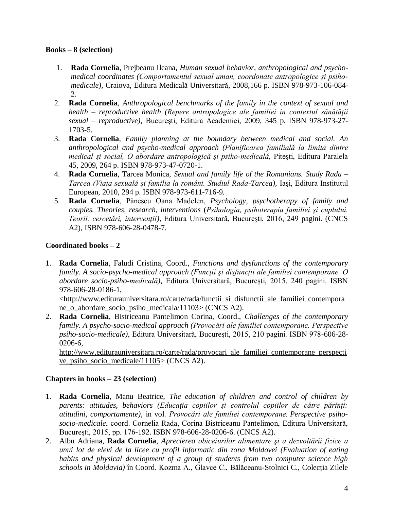#### **Books – 8 (selection)**

- 1. **Rada Cornelia**, Prejbeanu Ileana, *Human sexual behavior, anthropological and psychomedical coordinates (Comportamentul sexual uman, coordonate antropologice şi psihomedicale),* Craiova, Editura Medicală Universitară, 2008,166 p. ISBN 978-973-106-084- 2.
- 2. **Rada Cornelia**, *Anthropological benchmarks of the family in the context of sexual and health – reproductive health (Repere antropologice ale familiei în contextul sănătăţii sexual – reproductive),* Bucureşti, Editura Academiei, 2009, 345 p. ISBN 978-973-27- 1703-5.
- 3. **Rada Cornelia**, *Family planning at the boundary between medical and social. An anthropological and psycho-medical approach (Planificarea familială la limita dintre medical şi social, O abordare antropologică şi psiho-medicală,* Piteşti, Editura Paralela 45, 2009, 264 p. ISBN 978-973-47-0720-1.
- 4. **Rada Cornelia**, Tarcea Monica, *Sexual and family life of the Romanians. Study Rada – Tarcea (Viaţa sexuală şi familia la români. Studiul Rada-Tarcea),* Iaşi, Editura Institutul European, 2010, 294 p. ISBN 978-973-611-716-9.
- 5. **Rada Cornelia**, Pănescu Oana Madelen, *Psychology, psychotherapy of family and couples. Theories, research, interventions* (*Psihologia, psihoterapia familiei şi cuplului. Teorii, cercetări, intervenţii)*, Editura Universitară, Bucureşti, 2016, 249 pagini. (CNCS A2), ISBN 978-606-28-0478-7.

## **Coordinated books – 2**

1. **Rada Cornelia**, Faludi Cristina, Coord., *Functions and dysfunctions of the contemporary family. A socio-psycho-medical approach (Funcţii şi disfuncţii ale familiei contemporane. O abordare socio-psiho-medicală),* Editura Universitară, Bucureşti, 2015, 240 pagini. ISBN 978-606-28-0186-1,

[<http://www.editurauniversitara.ro/carte/rada/functii\\_si\\_disfunctii\\_ale\\_familiei\\_contempora](http://www.editurauniversitara.ro/carte/rada/functii_si_disfunctii_ale_familiei_contemporane_o_abordare_socio_psiho_medicala/11103) [ne\\_o\\_abordare\\_socio\\_psiho\\_medicala/11103>](http://www.editurauniversitara.ro/carte/rada/functii_si_disfunctii_ale_familiei_contemporane_o_abordare_socio_psiho_medicala/11103) (CNCS A2).

2. **Rada Cornelia**, Bistriceanu Pantelimon Corina, Coord., *Challenges of the contemporary family. A psycho-socio-medical approach (Provocări ale familiei contemporane. Perspective psiho-socio-medicale)*, Editura Universitară, Bucureşti, 2015, 210 pagini. ISBN 978-606-28- 0206-6,

[http://www.editurauniversitara.ro/carte/rada/provocari\\_ale\\_familiei\\_contemporane\\_perspecti](http://www.editurauniversitara.ro/carte/rada/provocari_ale_familiei_contemporane_perspective_psiho_socio_medicale/11105) [ve\\_psiho\\_socio\\_medicale/11105>](http://www.editurauniversitara.ro/carte/rada/provocari_ale_familiei_contemporane_perspective_psiho_socio_medicale/11105) (CNCS A2).

### **Chapters in books – 23 (selection)**

- 1. **Rada Cornelia**, Manu Beatrice, *The education of children and control of children by parents: attitudes, behaviors (Educaţia copiilor şi controlul copiilor de către părinţi: atitudini, comportamente)*, in vol. *Provocări ale familiei contemporane. Perspective psihosocio-medicale*, coord. Cornelia Rada, Corina Bistriceanu Pantelimon, Editura Universitară, Bucureşti, 2015, pp. 176-192. ISBN 978-606-28-0206-6. (CNCS A2).
- 2. Albu Adriana, **Rada Cornelia**, *Aprecierea obiceiurilor alimentare şi a dezvoltării fizice a unui lot de elevi de la licee cu profil informatic din zona Moldovei (Evaluation of eating habits and physical development of a group of students from two computer science high schools in Moldavia)* în Coord. Kozma A., Glavce C., Bălăceanu-Stolnici C., Colecția Zilele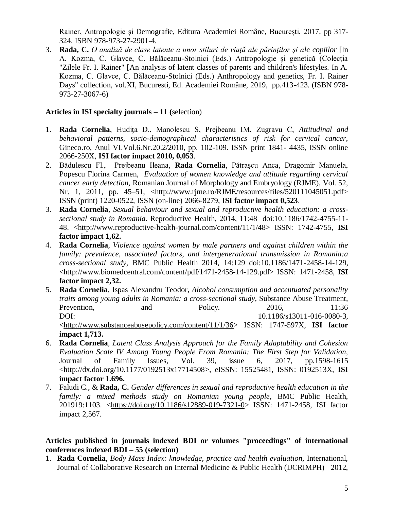Rainer, Antropologie și Demografie, Editura Academiei Române, București, 2017, pp 317- 324. ISBN 978-973-27-2901-4.

3. **Rada, C.** *O analiză de clase latente a unor stiluri de viaţă ale părinţilor şi ale copiilor* [In A. Kozma, C. Glavce, C. Bălăceanu-Stolnici (Eds.) Antropologie şi genetică (Colecția "Zilele Fr. I. Rainer" [An analysis of latent classes of parents and children's lifestyles. In A. Kozma, C. Glavce, C. Bălăceanu-Stolnici (Eds.) Anthropology and genetics, Fr. I. Rainer Days" collection, vol.XI, Bucuresti, Ed. Academiei Române, 2019, pp.413-423. (ISBN 978- 973-27-3067-6)

### **[Articles in ISI specialty journals](http://spitswww.uvt.nl/~vermunt/#ArtISI) – 11 (**selection)

- 1. **Rada Cornelia**, Hudiţa D., Manolescu S, Prejbeanu IM, Zugravu C, *Attitudinal and behavioral patterns, socio-demographical characteristics of risk for cervical cancer*, Gineco.ro, Anul VI.Vol.6.Nr.20.2/2010, pp. 102-109. ISSN print 1841- 4435, ISSN online 2066-250X, **ISI factor impact 2010, 0,053**.
- 2. Bădulescu Fl., Prejbeanu Ileana, **Rada Cornelia**, Pătraşcu Anca, Dragomir Manuela, Popescu Florina Carmen, *Evaluation of women knowledge and attitude regarding cervical cancer early detection,* Romanian Journal of Morphology and Embryology (RJME), Vol. 52, Nr. 1, 2011, pp. 45–51, <http://www.rjme.ro/RJME/resources/files/520111045051.pdf> ISSN (print) 1220-0522, ISSN (on-line) 2066-8279, **ISI factor impact 0,523**.
- 3. **Rada Cornelia**, *Sexual behaviour and sexual and reproductive health education: a crosssectional study in Romania*. Reproductive Health, 2014, 11:48 doi:10.1186/1742-4755-11- 48. <http://www.reproductive-health-journal.com/content/11/1/48> ISSN: 1742-4755, **ISI factor impact 1,62.**
- 4. **Rada Cornelia**, *Violence against women by male partners and against children within the family: prevalence, associated factors, and intergenerational transmission in Romania:a cross-sectional study*, BMC Public Health 2014, 14:129 doi:10.1186/1471-2458-14-129, <http://www.biomedcentral.com/content/pdf/1471-2458-14-129.pdf> ISSN: 1471-2458, **ISI factor impact 2,32.**
- 5. **Rada Cornelia**, Ispas Alexandru Teodor, *Alcohol consumption and accentuated personality traits among young adults in Romania: a cross-sectional study,* Substance Abuse Treatment, Prevention, and Policy. 2016, 11:36 DOI: 10.1186/s13011-016-0080-3, [<http://www.substanceabusepolicy.com/content/11/1/36>](http://www.substanceabusepolicy.com/content/11/1/36) ISSN: 1747-597X, **ISI factor impact 1,713.**
- 6. **Rada Cornelia**, *Latent Class Analysis Approach for the Family Adaptability and Cohesion Evaluation Scale IV Among Young People From Romania: The First Step for Validation,*  Journal of Family Issues, Vol. 39, issue 6, 2017, pp.1598-1615 [<http://dx.doi.org/10.1177/0192513x17714508>](http://dx.doi.org/10.1177/0192513x17714508), eISSN: 15525481, ISSN: 0192513X, **ISI impact factor 1.696.**
- 7. Faludi C., & **Rada, C.** *Gender differences in sexual and reproductive health education in the family: a mixed methods study on Romanian young people*, BMC Public Health, 201919:1103. [<https://doi.org/10.1186/s12889-019-7321-0>](https://doi.org/10.1186/s12889-019-7321-0) ISSN: 1471-2458, ISI factor impact 2,567.

## **Articles published in journals indexed BDI or volumes "proceedings" of international conferences indexed BDI – 55 (selection)**

1. **Rada Cornelia**, *Body Mass Index: knowledge, practice and health evaluation,* International, Journal of Collaborative Research on Internal Medicine & Public Health (IJCRIMPH) 2012,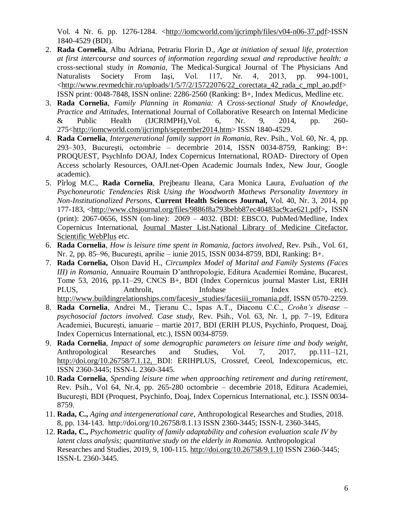Vol. 4 Nr. 6. pp. 1276-1284. [<http://iomcworld.com/ijcrimph/files/v04-n06-37.pdf>](http://iomcworld.com/ijcrimph/files/v04-n06-37.pdf)ISSN 1840-4529 (BDI).

- 2. **Rada Cornelia**, Albu Adriana, Petrariu Florin D., *Age at initiation of sexual life, protection at first intercourse and sources of information regarding sexual and reproductive health: a* cross-sectional study *in Romania*, The Medical-Surgical Journal of The Physicians And Naturalists Society From Iaşi, Vol. 117, Nr. 4, 2013, pp. 994-1001, [<http://www.revmedchir.ro/uploads/1/5/7/2/15722076/22\\_corectata\\_42\\_rada\\_c\\_mpl\\_ao.pdf>](http://www.revmedchir.ro/uploads/1/5/7/2/15722076/22_corectata_42_rada_c_mpl_ao.pdf) ISSN print: 0048-7848, ISSN online: 2286-2560 (Ranking: B+, Index Medicus, Medline etc.
- 3. **Rada Cornelia**, *Family Planning in Romania: A Cross-sectional Study of Knowledge, Practice and Attitudes*, International Journal of Collaborative Research on Internal Medicine & Public Health (IJCRIMPH),Vol. 6, Nr. 9, 2014, pp. 260- 275[<http://iomcworld.com/ijcrimph/september2014.htm>](http://iomcworld.com/ijcrimph/september2014.htm) ISSN 1840-4529.
- 4. **Rada Cornelia**, *Intergenerational family support in Romania,* Rev. Psih., Vol. 60, Nr. 4, pp. 293–303, Bucureşti, octombrie – decembrie 2014, ISSN 0034-8759, Ranking: B+: PROQUEST, PsychInfo DOAJ, Index Copernicus International, ROAD- Directory of Open Access scholarly Resources, OAJI.net-Open Academic Journals Index, New Jour, Google academic).
- 5. Pîrlog M.C., **Rada Cornelia**, Prejbeanu Ileana, Cara Monica Laura, *Evaluation of the Psychoneurotic Tendencies Risk Using the Woodworth Mathews Personality Inventory in Non-Institutionalized Persons*, **Current Health Sciences Journal,** Vol. 40, Nr. 3, 2014, pp 177-183, [<http://www.chsjournal.org/files/9886f8a793bebb87ec40483ac9cae621.pdf>](http://www.chsjournal.org/files/9886f8a793bebb87ec40483ac9cae621.pdf)**,** ISSN (print): 2067-0656, ISSN (on-line): 2069 – 4032. (BDI: EBSCO, PubMed/Medline, Index Copernicus International, [Journal Master List,](http://journals.indexcopernicus.com/Current+Health+Sciences+Journal,p569,3.html)[National Library of Medicine Citefactor,](http://www.ncbi.nlm.nih.gov/nlmcatalog/101597164) [Scientific WebPlus](http://scientific.thomsonwebplus.com/SearchResults.aspx?query=current+health+s,/pciences+journal+craiova&searchContext=TOPIC) etc.
- 6. **Rada Cornelia**, *How is leisure time spent in Romania, factors involved*, Rev. Psih., Vol. 61, Nr. 2, pp. 85–96, Bucureşti, aprilie – iunie 2015, ISSN 0034-8759, BDI, Ranking: B+.
- 7. **Rada Cornelia,** Olson David H., *Circumplex Model of Marital and Family Systems (Faces III) in Romania*, Annuaire Roumain D'anthropologie, Editura Academiei Române, Bucarest, Tome 53, 2016, pp.11–29, CNCS B+, BDI (Index Copernicus journal Master List, ERIH PLUS, Anthrolit, Infobase Index etc). [http://www.buildingrelationships.com/facesiv\\_studies/facesiii\\_romania.pdf,](http://www.buildingrelationships.com/facesiv_studies/facesiii_romania.pdf) ISSN 0570-2259.
- 8. **Rada Cornelia**, Andrei M., Ţieranu C., Ispas A.T., Diaconu C.C., *Crohn's disease – psychosocial factors involved. Case study,* Rev. Psih., Vol. 63, Nr. 1, pp. 7–19, Editura Academiei, Bucureşti, ianuarie – martie 2017, BDI (ERIH PLUS, Psychinfo, Proquest, Doaj, Index Copernicus International, etc.), ISSN 0034-8759.
- 9. **Rada Cornelia**, *Impact of some demographic parameters on leisure time and body weight,* Anthropological Researches and Studies, Vol. 7, 2017, pp.111–121, [http://doi.org/10.26758/7.1.12,](http://doi.org/10.26758/7.1.12) BDI: ERIHPLUS, Crossref, Ceeol, Indexcopernicus, etc. ISSN 2360-3445; ISSN-L 2360-3445.
- 10. **Rada Cornelia**, *Spending leisure time when approaching retirement and during retirement,* Rev. Psih., Vol 64, Nr.4, pp. 265-280 octombrie – decembrie 2018, Editura Academiei, Bucureşti, BDI (Proquest, Psychinfo, Doaj, Index Copernicus International, etc.). ISSN 0034- 8759.
- 11. **Rada, C.,** *Aging and intergenerational care*, Anthropological Researches and Studies, 2018. 8*,* pp. 134-143. <http://doi.org/10.26758/8.1.13> ISSN 2360-3445; ISSN-L 2360-3445.
- 12. **Rada, C.,** *Psychometric quality of family adaptability and cohesion evaluation scale IV by latent class analysis; quantitative study on the elderly in Romania*. Anthropological Researches and Studies, 2019, 9*,* 100-115.<http://doi.org/10.26758/9.1.10> ISSN 2360-3445; ISSN-L 2360-3445.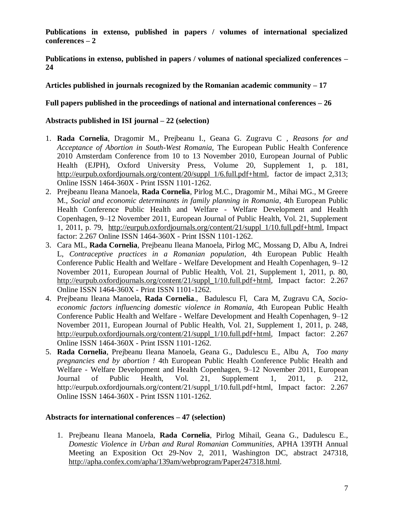**Publications in extenso, published in papers / volumes of international specialized conferences – 2**

**Publications in extenso, published in papers / volumes of national specialized conferences – 24**

**Articles published in journals recognized by the Romanian academic community – 17**

# **Full papers published in the proceedings of national and international conferences – 26**

## **Abstracts published in ISI journal – 22 (selection)**

- 1. **Rada Cornelia**, Dragomir M., Prejbeanu I., Geana G. Zugravu C *, Reasons for and Acceptance of Abortion in South-West Romania,* The European Public Health Conference 2010 Amsterdam Conference from 10 to 13 November 2010, European Journal of Public Health (EJPH), Oxford University Press, Volume 20, Supplement 1, p. 181, [http://eurpub.oxfordjournals.org/content/20/suppl\\_1/6.full.pdf+html,](http://eurpub.oxfordjournals.org/content/20/suppl_1/6.full.pdf+html) factor de impact 2,313; Online ISSN 1464-360X - Print ISSN 1101-1262.
- 2. Prejbeanu Ileana Manoela, **Rada Cornelia**, Pirlog M.C., Dragomir M., Mihai MG., M Greere M., *Social and economic determinants in family planning in Romania*, [4th European Public](http://eurpub.oxfordjournals.org/content/21/suppl_1.toc)  [Health Conference Public Health and Welfare -](http://eurpub.oxfordjournals.org/content/21/suppl_1.toc) Welfare Development and Health Copenhagen, 9–[12 November 2011,](http://eurpub.oxfordjournals.org/content/21/suppl_1.toc) European Journal of Public Health, Vol. 21, Supplement 1, 2011, p. 79, [http://eurpub.oxfordjournals.org/content/21/suppl\\_1/10.full.pdf+html,](http://eurpub.oxfordjournals.org/content/21/suppl_1/10.full.pdf+html) Impact factor: 2.267 Online ISSN 1464-360X - Print ISSN 1101-1262.
- 3. Cara ML, **Rada Cornelia**, Prejbeanu Ileana Manoela, Pirlog MC, Mossang D, Albu A, Indrei L, *Contraceptive practices in a Romanian population*, [4th European Public Health](http://eurpub.oxfordjournals.org/content/21/suppl_1.toc)  Conference Public Health and Welfare - [Welfare Development and Health Copenhagen, 9](http://eurpub.oxfordjournals.org/content/21/suppl_1.toc)–12 [November 2011,](http://eurpub.oxfordjournals.org/content/21/suppl_1.toc) European Journal of Public Health, Vol. 21, Supplement 1, 2011, p. 80, [http://eurpub.oxfordjournals.org/content/21/suppl\\_1/10.full.pdf+html,](http://eurpub.oxfordjournals.org/content/21/suppl_1/10.full.pdf+html) Impact factor: 2.267 Online ISSN 1464-360X - Print ISSN 1101-1262.
- 4. Prejbeanu Ileana Manoela, **Rada Cornelia**., Badulescu Fl, Cara M, Zugravu CA, *Socioeconomic factors influencing domestic violence in Romania*, [4th European Public Health](http://eurpub.oxfordjournals.org/content/21/suppl_1.toc)  Conference Public Health and Welfare - [Welfare Development and Health Copenhagen, 9](http://eurpub.oxfordjournals.org/content/21/suppl_1.toc)–12 [November 2011,](http://eurpub.oxfordjournals.org/content/21/suppl_1.toc) European Journal of Public Health, Vol. 21, Supplement 1, 2011, p. 248, [http://eurpub.oxfordjournals.org/content/21/suppl\\_1/10.full.pdf+html,](http://eurpub.oxfordjournals.org/content/21/suppl_1/10.full.pdf+html) Impact factor: 2.267 Online ISSN 1464-360X - Print ISSN 1101-1262.
- 5. **Rada Cornelia**, Prejbeanu Ileana Manoela, Geana G., Dadulescu E., Albu A, *Too many pregnancies end by abortion !* [4th European Public Health Conference Public Health and](http://eurpub.oxfordjournals.org/content/21/suppl_1.toc)  Welfare - [Welfare Development and Health Copenhagen, 9](http://eurpub.oxfordjournals.org/content/21/suppl_1.toc)–12 November 2011, European Journal of Public Health, Vol. 21, Supplement 1, 2011, p. 212, [http://eurpub.oxfordjournals.org/content/21/suppl\\_1/10.full.pdf+html,](http://eurpub.oxfordjournals.org/content/21/suppl_1/10.full.pdf+html) Impact factor: 2.267 Online ISSN 1464-360X - Print ISSN 1101-1262.

### **Abstracts for international conferences – 47 (selection)**

1. Prejbeanu Ileana Manoela, **Rada Cornelia**, Pirlog Mihail, Geana G., Dadulescu E., *Domestic Violence in Urban and Rural Romanian Communities*, APHA 139TH Annual Meeting an Exposition Oct 29-Nov 2, 2011, Washington DC, abstract 247318, [http://apha.confex.com/apha/139am/webprogram/Paper247318.html.](http://apha.confex.com/apha/139am/webprogram/Paper247318.html)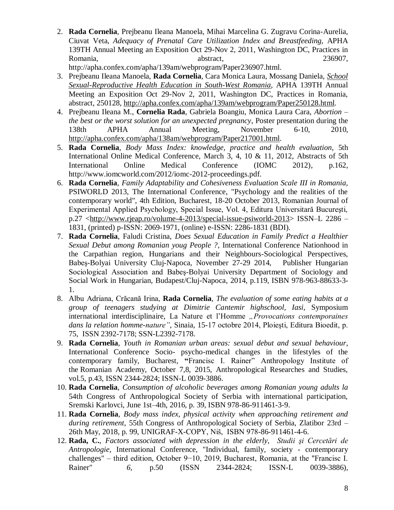2. **Rada Cornelia**, Prejbeanu Ileana Manoela, Mihai Marcelina G. Zugravu Corina-Aurelia, Ciuvat Veta, *Adequacy of Prenatal Care Utilization Index and Breastfeeding,* APHA 139TH Annual Meeting an Exposition Oct 29-Nov 2, 2011, Washington DC, Practices in Romania, abstract, 236907,

http://apha.confex.com/apha/139am/webprogram/Paper236907.html.

- 3. Prejbeanu Ileana Manoela, **Rada Cornelia**, Cara Monica Laura, Mossang Daniela, *[School](http://apha.confex.com/apha/139am/webprogram/Paper250128.html)  [Sexual-Reproductive Health Education in South-West Romania,](http://apha.confex.com/apha/139am/webprogram/Paper250128.html)* APHA 139TH Annual Meeting an Exposition Oct 29-Nov 2, 2011, Washington DC, Practices in Romania, abstract, 250128, [http://apha.confex.com/apha/139am/webprogram/Paper250128.html.](http://apha.confex.com/apha/139am/webprogram/Paper250128.html)
- 4. Prejbeanu Ileana M., **Cornelia Rada**, Gabriela Boangiu, Monica Laura Cara, *Abortion – the best or the worst solution for an unexpected pregnancy*, Poster presentation during the 138th APHA Annual Meeting, November 6-10, 2010, [http://apha.confex.com/apha/138am/webprogram/Paper217001.html.](http://apha.confex.com/apha/138am/webprogram/Paper217001.html)
- 5. **Rada Cornelia**, *Body Mass Index: knowledge, practice and health evaluation*, 5th International Online Medical Conference, March 3, 4, 10 & 11, 2012, Abstracts of 5th International Online Medical Conference (IOMC 2012), p.162, http://www.iomcworld.com/2012/iomc-2012-proceedings.pdf.
- 6. **Rada Cornelia**, *Family Adaptability and Cohesiveness Evaluation Scale III in Romania,* PSIWORLD 2013, The International Conference, "Psychology and the realities of the contemporary world", 4th Edition, Bucharest, 18-20 October 2013, Romanian Journal of Experimental Applied Psychology, Special Issue, Vol. 4, Editura Universitară Bucureşti, p.27 [<http://www.rjeap.ro/volume-4-2013/special-issue-psiworld-2013>](http://www.rjeap.ro/volume-4-2013/special-issue-psiworld-2013) ISSN–L 2286 – 1831, (printed) p-ISSN: 2069-1971, (online) e-ISSN: 2286-1831 (BDI).
- 7. **Rada Cornelia**, Faludi Cristina, *Does Sexual Education in Family Predict a Healthier Sexual Debut among Romanian youg People ?*, International Conference Nationhood in the Carpathian region, Hungarians and their Neighbours-Sociological Perspectives, Babeş-Bolyai University Cluj-Napoca, November 27-29 2014, Publisher Hungarian Sociological Association and Babeş-Bolyai University Department of Sociology and Social Work in Hungarian, Budapest/Cluj-Napoca, 2014, p.119, ISBN 978-963-88633-3- 1.
- 8. Albu Adriana, Crăcană Irina, **Rada Cornelia**, *The evaluation of some eating habits at a group of teenagers studying at Dimitrie Cantemir highschool, Iasi,* Symposium international interdisciplinaire, La Nature et l'Homme "Provocations contemporaines *dans la relation homme-nature"*, Sinaia, 15-17 octobre 2014, Ploieşti, Editura Bioedit, p. 75, ISSN 2392-7178; SSN-L2392-7178.
- 9. **Rada Cornelia**, *Youth in Romanian urban areas: sexual debut and sexual behaviour*, International Conference Socio- psycho-medical changes in the lifestyles of the contemporary family*,* Bucharest, **"**Francisc I. Rainer" Anthropology Institute of the Romanian Academy, October 7,8, 2015, Anthropological Researches and Studies, vol.5, p.43, ISSN 2344-2824; ISSN-L 0039-3886.
- 10. **Rada Cornelia**, *Consumption of alcoholic beverages among Romanian young adults la*  54th Congress of Anthropological Society of Serbia with international participation, Sremski Karlovci, June 1st–4th, 2016, p. 39, ISBN 978-86-911461-3-9.
- 11. **Rada Cornelia**, *Body mass index, physical activity when approaching retirement and during retirement*, 55th Congress of Anthropological Society of Serbia, Zlatibor 23rd – 26th May, 2018, p. 99, UNIGRAF-X-COPY, Niš, ISBN 978-86-911461-4-6.
- 12. **Rada, C.**, *Factors associated with depression in the elderly*, *Studii şi Cercetări de Antropologie,* International Conference, "Individual, family, society - contemporary challenges" – third edition, October 9−10, 2019, Bucharest, Romania, at the "Francisc I. Rainer" *6,* p.50 (ISSN 2344-2824; ISSN-L 0039-3886)*,*